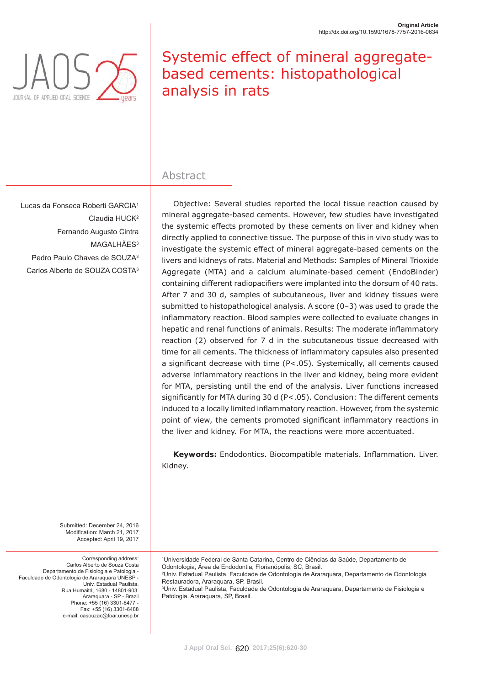

# Systemic effect of mineral aggregatebased cements: histopathological analysis in rats

### Abstract

Lucas da Fonseca Roberti GARCIA1 Claudia HUCK2 Fernando Augusto Cintra MAGALHÃES<sup>3</sup> Pedro Paulo Chaves de SOUZA3 Carlos Alberto de SOUZA COSTA3

Objective: Several studies reported the local tissue reaction caused by mineral aggregate-based cements. However, few studies have investigated the systemic effects promoted by these cements on liver and kidney when directly applied to connective tissue. The purpose of this *in vivo* study was to investigate the systemic effect of mineral aggregate-based cements on the livers and kidneys of rats. Material and Methods: Samples of Mineral Trioxide Aggregate (MTA) and a calcium aluminate-based cement (EndoBinder) containing different radiopacifiers were implanted into the dorsum of 40 rats. After 7 and 30 d, samples of subcutaneous, liver and kidney tissues were submitted to histopathological analysis. A score (0–3) was used to grade the inflammatory reaction. Blood samples were collected to evaluate changes in hepatic and renal functions of animals. Results: The moderate inflammatory reaction (2) observed for 7 d in the subcutaneous tissue decreased with time for all cements. The thickness of inflammatory capsules also presented a significant decrease with time ( $P < .05$ ). Systemically, all cements caused adverse inflammatory reactions in the liver and kidney, being more evident for MTA, persisting until the end of the analysis. Liver functions increased significantly for MTA during 30 d ( $P$ <.05). Conclusion: The different cements induced to a locally limited inflammatory reaction. However, from the systemic point of view, the cements promoted significant inflammatory reactions in the liver and kidney. For MTA, the reactions were more accentuated.

Keywords: Endodontics. Biocompatible materials. Inflammation. Liver. Kidney.

Submitted: December 24, 2016 Modification: March 21, 2017 Accepted: April 19, 2017

Corresponding address: Carlos Alberto de Souza Costa Departamento de Fisiologia e Patologia - Faculdade de Odontologia de Araraquara UNESP - Univ. Estadual Paulista. Rua Humaitá, 1680 - 14801-903. Araraquara - SP - Brazil Phone: +55 (16) 3301-6477 - Fax: +55 (16) 3301-6488 e-mail: casouzac@foar.unesp.br

1 Universidade Federal de Santa Catarina, Centro de Ciências da Saúde, Departamento de Odontologia, Área de Endodontia, Florianópolis, SC, Brasil. 2 Univ. Estadual Paulista, Faculdade de Odontologia de Araraquara, Departamento de Odontologia Restauradora, Araraquara, SP, Brasil. 3 Univ. Estadual Paulista, Faculdade de Odontologia de Araraquara, Departamento de Fisiologia e Patologia, Araraquara, SP, Brasil.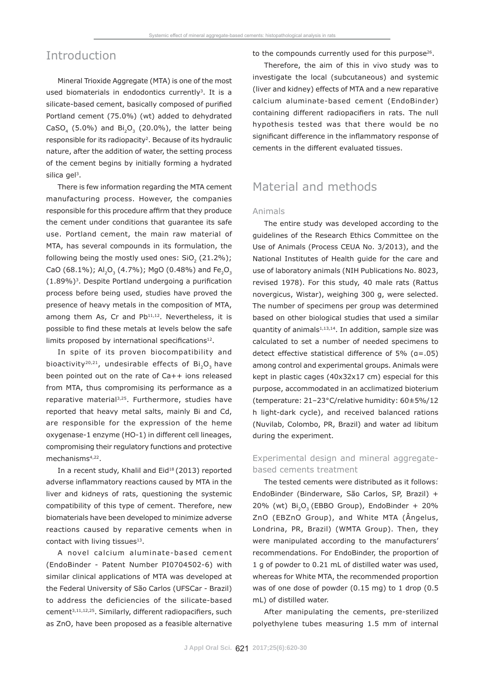### Introduction

Mineral Trioxide Aggregate (MTA) is one of the most used biomaterials in endodontics currently<sup>3</sup>. It is a silicate-based cement, basically composed of purified Portland cement (75.0%) (wt) added to dehydrated CaSO<sub>4</sub> (5.0%) and Bi<sub>2</sub>O<sub>3</sub> (20.0%), the latter being responsible for its radiopacity<sup>2</sup>. Because of its hydraulic nature, after the addition of water, the setting process of the cement begins by initially forming a hydrated silica gel<sup>3</sup>.

There is few information regarding the MTA cement manufacturing process. However, the companies responsible for this procedure affirm that they produce the cement under conditions that guarantee its safe use. Portland cement, the main raw material of MTA, has several compounds in its formulation, the following being the mostly used ones:  $SiO<sub>2</sub>$  (21.2%); CaO (68.1%); Al<sub>2</sub>O<sub>3</sub> (4.7%); MgO (0.48%) and Fe<sub>2</sub>O<sub>3</sub>  $(1.89\%)$ <sup>3</sup>. Despite Portland undergoing a purification process before being used, studies have proved the presence of heavy metals in the composition of MTA, among them As, Cr and Pb<sup>11,12</sup>. Nevertheless, it is possible to find these metals at levels below the safe limits proposed by international specifications $12$ .

In spite of its proven biocompatibility and bioactivity<sup>20,21</sup>, undesirable effects of  $Bi_2O_2$  have been pointed out on the rate of Ca++ ions released from MTA, thus compromising its performance as a reparative material<sup>3,25</sup>. Furthermore, studies have reported that heavy metal salts, mainly Bi and Cd, are responsible for the expression of the heme oxygenase-1 enzyme (HO-1) in different cell lineages, compromising their regulatory functions and protective mechanisms4,22.

In a recent study, Khalil and Eid<sup>18</sup> (2013) reported adverse inflammatory reactions caused by MTA in the liver and kidneys of rats, questioning the systemic compatibility of this type of cement. Therefore, new biomaterials have been developed to minimize adverse reactions caused by reparative cements when in contact with living tissues<sup>13</sup>.

A novel calcium aluminate-based cement (EndoBinder - Patent Number PI0704502-6) with similar clinical applications of MTA was developed at the Federal University of São Carlos (UFSCar - Brazil) to address the deficiencies of the silicate-based cement<sup>3,11,12,25</sup>. Similarly, different radiopacifiers, such as ZnO, have been proposed as a feasible alternative to the compounds currently used for this purpose<sup>26</sup>.

Therefore, the aim of this *in vivo* study was to investigate the local (subcutaneous) and systemic (liver and kidney) effects of MTA and a new reparative calcium aluminate-based cement (EndoBinder) containing different radiopacifiers in rats. The null hypothesis tested was that there would be no significant difference in the inflammatory response of cements in the different evaluated tissues.

## Material and methods

#### Animals

The entire study was developed according to the guidelines of the Research Ethics Committee on the Use of Animals (Process CEUA No. 3/2013), and the National Institutes of Health guide for the care and use of laboratory animals (NIH Publications No. 8023, revised 1978). For this study, 40 male rats (*Rattus novergicus*, Wistar), weighing 300 g, were selected. The number of specimens *per* group was determined based on other biological studies that used a similar quantity of animals<sup>1,13,14</sup>. In addition, sample size was calculated to set a number of needed specimens to detect effective statistical difference of 5%  $(a=.05)$ among control and experimental groups. Animals were kept in plastic cages (40x32x17 cm) especial for this purpose, accommodated in an acclimatized bioterium (temperature: 21–23*°*C/relative humidity: 60±5%/12 h light-dark cycle), and received balanced rations (Nuvilab, Colombo, PR, Brazil) and water *ad libitum* during the experiment.

### Experimental design and mineral aggregatebased cements treatment

The tested cements were distributed as it follows: EndoBinder (Binderware, São Carlos, SP, Brazil) + 20% (wt)  $Bi_2O_3$  (EBBO Group), EndoBinder + 20% ZnO (EBZnO Group), and White MTA (Ângelus, Londrina, PR, Brazil) (WMTA Group). Then, they were manipulated according to the manufacturers' recommendations. For EndoBinder, the proportion of 1 g of powder to 0.21 mL of distilled water was used, whereas for White MTA, the recommended proportion was of one dose of powder (0.15 mg) to 1 drop (0.5 mL) of distilled water.

After manipulating the cements, pre-sterilized polyethylene tubes measuring 1.5 mm of internal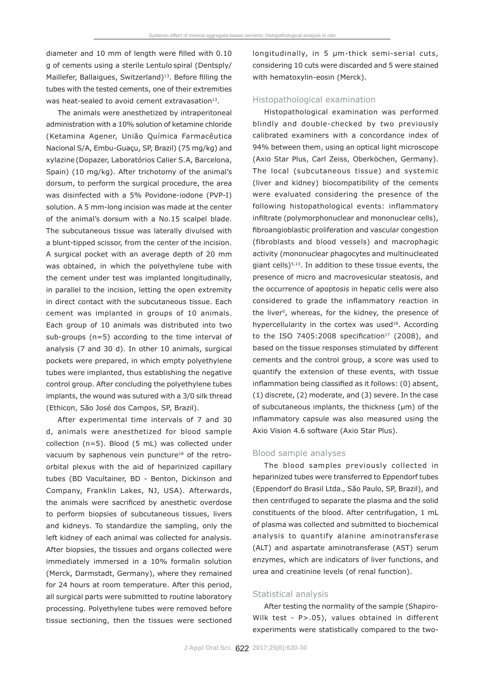diameter and 10 mm of length were filled with 0.10 g of cements using a sterile Lentulo spiral (Dentsply/ Maillefer, Ballaigues, Switzerland)<sup>13</sup>. Before filling the tubes with the tested cements, one of their extremities was heat-sealed to avoid cement extravasation $13$ .

The animals were anesthetized by intraperitoneal administration with a 10% solution of ketamine chloride (Ketamina Agener, União Química Farmacêutica Nacional S/A, Embu-Guaçu, SP, Brazil) (75 mg/kg) and xylazine (Dopazer, Laboratórios Calier S.A, Barcelona, Spain) (10 mg/kg). After trichotomy of the animal's dorsum, to perform the surgical procedure, the area was disinfected with a 5% Povidone-iodone (PVP-I) solution. A 5 mm-long incision was made at the center of the animal's dorsum with a No.15 scalpel blade. The subcutaneous tissue was laterally divulsed with a blunt-tipped scissor, from the center of the incision. A surgical pocket with an average depth of 20 mm was obtained, in which the polyethylene tube with the cement under test was implanted longitudinally, in parallel to the incision, letting the open extremity in direct contact with the subcutaneous tissue. Each cement was implanted in groups of 10 animals. Each group of 10 animals was distributed into two sub-groups (n=5) according to the time interval of analysis (7 and 30 d). In other 10 animals, surgical pockets were prepared, in which empty polyethylene tubes were implanted, thus establishing the negative control group. After concluding the polyethylene tubes implants, the wound was sutured with a 3/0 silk thread (Ethicon, São José dos Campos, SP, Brazil).

After experimental time intervals of 7 and 30 d, animals were anesthetized for blood sample collection (n=5). Blood (5 mL) was collected under vacuum by saphenous vein puncture<sup>18</sup> of the retroorbital plexus with the aid of heparinized capillary tubes (BD Vacultainer, BD - Benton, Dickinson and Company, Franklin Lakes, NJ, USA). Afterwards, the animals were sacrificed by anesthetic overdose to perform biopsies of subcutaneous tissues, livers and kidneys. To standardize the sampling, only the left kidney of each animal was collected for analysis. After biopsies, the tissues and organs collected were immediately immersed in a 10% formalin solution (Merck, Darmstadt, Germany), where they remained for 24 hours at room temperature. After this period, all surgical parts were submitted to routine laboratory processing. Polyethylene tubes were removed before tissue sectioning, then the tissues were sectioned longitudinally, in 5 μm-thick semi-serial cuts, considering 10 cuts were discarded and 5 were stained with hematoxylin-eosin (Merck).

#### Histopathological examination

Histopathological examination was performed blindly and double-checked by two previously calibrated examiners with a concordance index of 94% between them, using an optical light microscope (Axio Star Plus, Carl Zeiss, Oberköchen, Germany). The local (subcutaneous tissue) and systemic (liver and kidney) biocompatibility of the cements were evaluated considering the presence of the following histopathological events: inflammatory infiltrate (polymorphonuclear and mononuclear cells), fibroangioblastic proliferation and vascular congestion (fibroblasts and blood vessels) and macrophagic activity (mononuclear phagocytes and multinucleated giant cells)5,13. In addition to these tissue events, the presence of micro and macrovesicular steatosis, and the occurrence of apoptosis in hepatic cells were also considered to grade the inflammatory reaction in the liver<sup>5</sup>, whereas, for the kidney, the presence of hypercellularity in the cortex was used $18$ . According to the ISO 7405:2008 specification<sup>17</sup> (2008), and based on the tissue responses stimulated by different cements and the control group, a score was used to quantify the extension of these events, with tissue inflammation being classified as it follows: (0) absent, (1) discrete, (2) moderate, and (3) severe. In the case of subcutaneous implants, the thickness (μm) of the inflammatory capsule was also measured using the Axio Vision 4.6 software (Axio Star Plus).

#### Blood sample analyses

The blood samples previously collected in heparinized tubes were transferred to Eppendorf tubes (Eppendorf do Brasil Ltda., São Paulo, SP, Brazil), and then centrifuged to separate the plasma and the solid constituents of the blood. After centrifugation, 1 mL of plasma was collected and submitted to biochemical analysis to quantify alanine aminotransferase (ALT) and aspartate aminotransferase (AST) serum enzymes, which are indicators of liver functions, and urea and creatinine levels (of renal function).

#### Statistical analysis

After testing the normality of the sample (Shapiro-Wilk test - P>.05), values obtained in different experiments were statistically compared to the two-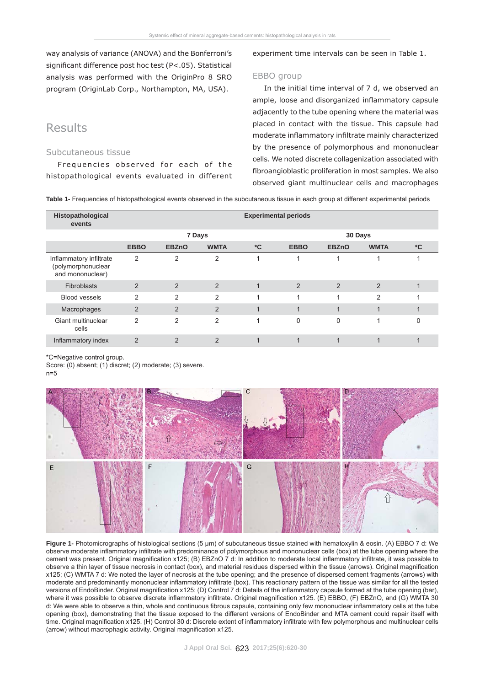way analysis of variance (ANOVA) and the Bonferroni's significant difference *post hoc* test (P<.05). Statistical analysis was performed with the OriginPro 8 SRO program (OriginLab Corp., Northampton, MA, USA).

### Results

#### Subcutaneous tissue

Frequencies observed for each of the histopathological events evaluated in different experiment time intervals can be seen in Table 1.

#### EBBO group

In the initial time interval of 7 d, we observed an ample, loose and disorganized inflammatory capsule adjacently to the tube opening where the material was placed in contact with the tissue. This capsule had moderate inflammatory infiltrate mainly characterized by the presence of polymorphous and mononuclear cells. We noted discrete collagenization associated with fibroangioblastic proliferation in most samples. We also observed giant multinuclear cells and macrophages

**Table 1-** Frequencies of histopathological events observed in the subcutaneous tissue in each group at different experimental periods

| Histopathological<br>events                                       | <b>Experimental periods</b> |                |                |                         |             |              |                         |               |  |  |  |  |  |
|-------------------------------------------------------------------|-----------------------------|----------------|----------------|-------------------------|-------------|--------------|-------------------------|---------------|--|--|--|--|--|
|                                                                   |                             |                | 7 Days         |                         | 30 Days     |              |                         |               |  |  |  |  |  |
|                                                                   | <b>EBBO</b>                 | <b>EBZnO</b>   | <b>WMTA</b>    | $^{\ast}$ C             | <b>EBBO</b> | <b>EBZnO</b> | <b>WMTA</b>             | ${}^{\star}C$ |  |  |  |  |  |
| Inflammatory infiltrate<br>(polymorphonuclear<br>and mononuclear) | 2                           | 2              | 2              |                         |             |              |                         |               |  |  |  |  |  |
| Fibroblasts                                                       | 2                           | 2              | 2              | $\mathbf{1}$            | 2           | 2            | 2                       |               |  |  |  |  |  |
| <b>Blood vessels</b>                                              | $\mathfrak{p}$              | $\mathcal{P}$  | $\mathfrak{p}$ |                         |             | 1            | $\mathfrak{p}$          |               |  |  |  |  |  |
| Macrophages                                                       | $\overline{2}$              | 2              | $\mathcal{P}$  | $\overline{\mathbf{A}}$ |             | и            | $\overline{\mathbf{A}}$ |               |  |  |  |  |  |
| Giant multinuclear<br>cells                                       | $\mathfrak{p}$              | $\overline{2}$ | 2              | $\overline{\mathbf{A}}$ | $\Omega$    | $\Omega$     |                         | 0             |  |  |  |  |  |
| Inflammatory index                                                | $\overline{2}$              | 2              | 2              |                         |             |              |                         |               |  |  |  |  |  |

\* C=Negative control group.

Score: (0) absent; (1) discret; (2) moderate; (3) severe.  $n=5$ 



**Figure 1-** Photomicrographs of histological sections (5 μm) of subcutaneous tissue stained with hematoxylin & eosin. (A) EBBO 7 d: We observe moderate inflammatory infiltrate with predominance of polymorphous and mononuclear cells (box) at the tube opening where the cement was present. Original magnification x125; (B) EBZnO 7 d: In addition to moderate local inflammatory infiltrate, it was possible to observe a thin layer of tissue necrosis in contact (box), and material residues dispersed within the tissue (arrows). Original magnification x125; (C) WMTA 7 d: We noted the layer of necrosis at the tube opening; and the presence of dispersed cement fragments (arrows) with moderate and predominantly mononuclear inflammatory infiltrate (box). This reactionary pattern of the tissue was similar for all the tested versions of EndoBinder. Original magnification x125; (D) Control 7 d: Details of the inflammatory capsule formed at the tube opening (bar). where it was possible to observe discrete inflammatory infiltrate. Original magnification x125. (E) EBBO, (F) EBZnO, and (G) WMTA 30 d: We were able to observe a thin, whole and continuous fibrous capsule, containing only few mononuclear inflammatory cells at the tube opening (box), demonstrating that the tissue exposed to the different versions of EndoBinder and MTA cement could repair itself with time. Original magnification x125. (H) Control 30 d: Discrete extent of inflammatory infiltrate with few polymorphous and multinuclear cells  $\alpha$  (arrow) without macrophagic activity. Original magnification x125.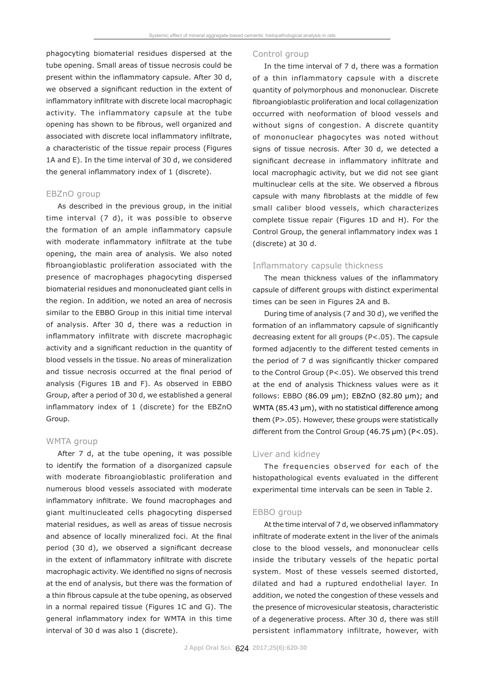phagocyting biomaterial residues dispersed at the tube opening. Small areas of tissue necrosis could be present within the inflammatory capsule. After 30 d, we observed a significant reduction in the extent of inflammatory infiltrate with discrete local macrophagic activity. The inflammatory capsule at the tube opening has shown to be fibrous, well organized and associated with discrete local inflammatory infiltrate, a characteristic of the tissue repair process (Figures 1A and E). In the time interval of 30 d, we considered the general inflammatory index of 1 (discrete).

#### EBZnO group

As described in the previous group, in the initial time interval (7 d), it was possible to observe the formation of an ample inflammatory capsule with moderate inflammatory infiltrate at the tube opening, the main area of analysis. We also noted fibroangioblastic proliferation associated with the presence of macrophages phagocyting dispersed biomaterial residues and mononucleated giant cells in the region. In addition, we noted an area of necrosis similar to the EBBO Group in this initial time interval of analysis. After 30 d, there was a reduction in inflammatory infiltrate with discrete macrophagic activity and a significant reduction in the quantity of blood vessels in the tissue. No areas of mineralization and tissue necrosis occurred at the final period of analysis (Figures 1B and F). As observed in EBBO Group, after a period of 30 d, we established a general inflammatory index of  $1$  (discrete) for the EBZnO Group.

#### WMTA group

After 7 d, at the tube opening, it was possible to identify the formation of a disorganized capsule with moderate fibroangioblastic proliferation and numerous blood vessels associated with moderate inflammatory infiltrate. We found macrophages and giant multinucleated cells phagocyting dispersed material residues, as well as areas of tissue necrosis and absence of locally mineralized *foci*. At the final period (30 d), we observed a significant decrease in the extent of inflammatory infiltrate with discrete macrophagic activity. We identified no signs of necrosis at the end of analysis, but there was the formation of a thin fibrous capsule at the tube opening, as observed in a normal repaired tissue (Figures 1C and G). The general inflammatory index for WMTA in this time interval of 30 d was also 1 (discrete).

#### Control group

In the time interval of 7 d, there was a formation of a thin inflammatory capsule with a discrete quantity of polymorphous and mononuclear. Discrete fibroangioblastic proliferation and local collagenization occurred with neoformation of blood vessels and without signs of congestion. A discrete quantity of mononuclear phagocytes was noted without signs of tissue necrosis. After 30 d, we detected a significant decrease in inflammatory infiltrate and local macrophagic activity, but we did not see giant multinuclear cells at the site. We observed a fibrous capsule with many fibroblasts at the middle of few small caliber blood vessels, which characterizes complete tissue repair (Figures 1D and H). For the Control Group, the general inflammatory index was 1 (discrete) at 30 d.

#### Inflammatory capsule thickness

The mean thickness values of the inflammatory capsule of different groups with distinct experimental times can be seen in Figures 2A and B.

During time of analysis (7 and 30 d), we verified the formation of an inflammatory capsule of significantly decreasing extent for all groups (P<.05). The capsule formed adjacently to the different tested cements in the period of 7 d was significantly thicker compared to the Control Group (P<.05). We observed this trend at the end of analysis Thickness values were as it follows: EBBO (86.09 μm); EBZnO (82.80 μm); and WMTA (85.43 μm), with no statistical difference among them (P>.05). However, these groups were statistically different from the Control Group (46.75 μm) (P<.05).

#### Liver and kidney

The frequencies observed for each of the histopathological events evaluated in the different experimental time intervals can be seen in Table 2.

#### EBBO group

At the time interval of 7 d, we observed inflammatory infiltrate of moderate extent in the liver of the animals close to the blood vessels, and mononuclear cells inside the tributary vessels of the hepatic portal system. Most of these vessels seemed distorted, dilated and had a ruptured endothelial layer. In addition, we noted the congestion of these vessels and the presence of microvesicular steatosis, characteristic of a degenerative process. After 30 d, there was still persistent inflammatory infiltrate, however, with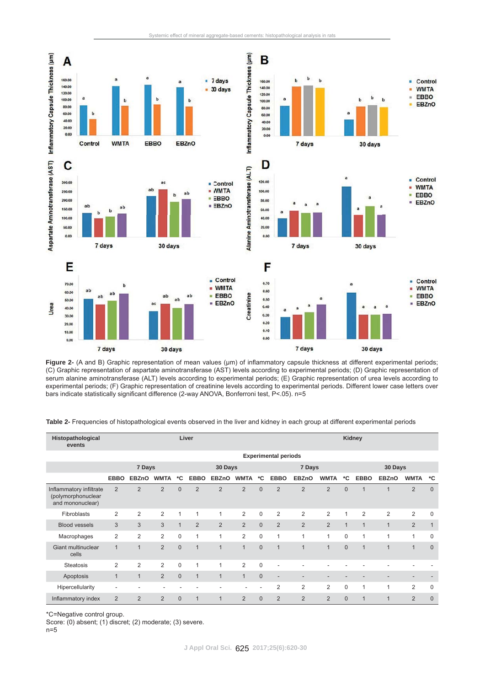



Figure 2- (A and B) Graphic representation of mean values (um) of inflammatory capsule thickness at different experimental periods; (C) Graphic representation of aspartate aminotransferase (AST) levels according to experimental periods; (D) Graphic representation of serum alanine aminotransferase (ALT) levels according to experimental periods; (E) Graphic representation of urea levels according to experimental periods; (F) Graphic representation of creatinine levels according to experimental periods. Different lower case letters over bars indicate statistically significant difference (2-way ANOVA, Bonferroni test, P<.05). n=5

**Table 2-** Frequencies of histopathological events observed in the liver and kidney in each group at different experimental periods

| Histopathological<br>events                                       | Liver                       |                |                |                |                |                |                |             | Kidney                   |                |                |              |              |                |                          |              |
|-------------------------------------------------------------------|-----------------------------|----------------|----------------|----------------|----------------|----------------|----------------|-------------|--------------------------|----------------|----------------|--------------|--------------|----------------|--------------------------|--------------|
|                                                                   | <b>Experimental periods</b> |                |                |                |                |                |                |             |                          |                |                |              |              |                |                          |              |
|                                                                   | 7 Days                      |                |                |                | 30 Days        |                |                | 7 Days      |                          |                | 30 Days        |              |              |                |                          |              |
|                                                                   | <b>EBBO</b>                 | <b>EBZnO</b>   | <b>WMTA</b>    | *C             | <b>EBBO</b>    | <b>EBZnO</b>   | <b>WMTA</b>    | *C          | <b>EBBO</b>              | <b>EBZnO</b>   | <b>WMTA</b>    | ۰c           | <b>EBBO</b>  | <b>EBZnO</b>   | <b>WMTA</b>              | *C           |
| Inflammatory infiltrate<br>(polymorphonuclear<br>and mononuclear) | $\overline{2}$              | $\overline{2}$ | 2              | $\Omega$       | $\overline{2}$ | $\overline{2}$ | 2              | $\Omega$    | $\overline{2}$           | $\overline{2}$ | 2              | $\Omega$     | 1            | $\overline{1}$ | 2                        | $\mathbf{0}$ |
| Fibroblasts                                                       | $\overline{2}$              | 2              | 2              | 1              |                | 1              | 2              | $\mathbf 0$ | 2                        | $\overline{2}$ | 2              | 1            | 2            | $\overline{2}$ | 2                        | 0            |
| <b>Blood vessels</b>                                              | 3                           | 3              | 3              | $\mathbf{1}$   | 2              | 2              | 2              | $\Omega$    | 2                        | $\overline{2}$ | 2              | $\mathbf{1}$ | $\mathbf{1}$ | $\mathbf{1}$   | 2                        | $\mathbf{1}$ |
| Macrophages                                                       | 2                           | 2              | 2              | $\Omega$       | 1              | 1              | 2              | $\Omega$    | 1                        | 1              | 1              | $\Omega$     | 1            | 1              | 1                        | $\mathbf 0$  |
| Giant multinuclear<br>cells                                       | $\mathbf{1}$                | $\overline{1}$ | 2              | $\Omega$       | $\mathbf{1}$   | $\mathbf{1}$   | $\mathbf{1}$   | $\Omega$    | $\overline{1}$           | $\mathbf{1}$   | $\overline{1}$ | $\mathbf{0}$ | 1            | $\mathbf{1}$   | $\mathbf 1$              | $\Omega$     |
| <b>Steatosis</b>                                                  | $\overline{2}$              | $\overline{2}$ | $\overline{2}$ | $\mathbf 0$    | 1              | $\mathbf{1}$   | $\overline{2}$ | $\mathbf 0$ |                          |                |                |              |              |                |                          |              |
| Apoptosis                                                         | $\mathbf{1}$                | $\mathbf{1}$   | 2              | $\overline{0}$ | $\mathbf{1}$   | $\mathbf{1}$   | $\mathbf{1}$   | $\Omega$    | $\overline{\phantom{a}}$ |                |                |              |              |                | $\overline{\phantom{0}}$ |              |
| Hipercellularity                                                  | ٠                           |                | ٠              |                |                |                |                |             | $\overline{2}$           | $\overline{2}$ | $\overline{2}$ | 0            | 1            | $\overline{1}$ | $\overline{2}$           | $\mathbf 0$  |
| Inflammatory index                                                | $\overline{2}$              | 2              | 2              | $\Omega$       | $\mathbf 1$    | $\mathbf{1}$   | 2              | $\Omega$    | 2                        | 2              | 2              | $\Omega$     | 1            | $\mathbf{1}$   | $\overline{2}$           | $\Omega$     |

\*C=Negative control group.

Score: (0) absent; (1) discret; (2) moderate; (3) severe.

n=5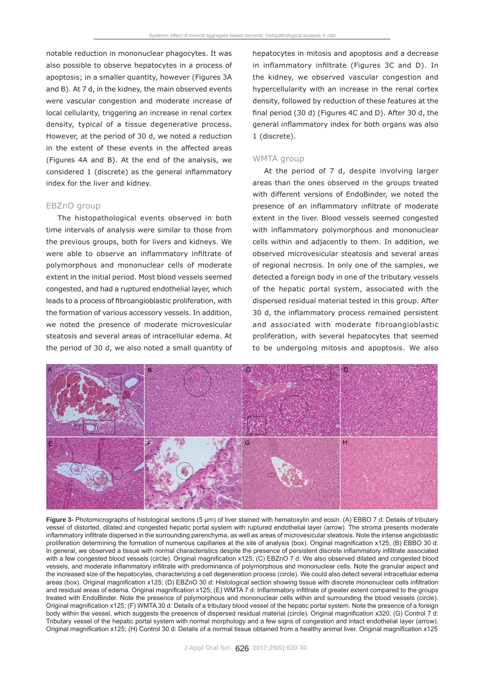notable reduction in mononuclear phagocytes. It was also possible to observe hepatocytes in a process of apoptosis; in a smaller quantity, however (Figures 3A and B). At 7 d, in the kidney, the main observed events were vascular congestion and moderate increase of local cellularity, triggering an increase in renal cortex density, typical of a tissue degenerative process. However, at the period of 30 d, we noted a reduction in the extent of these events in the affected areas (Figures 4A and B). At the end of the analysis, we considered 1 (discrete) as the general inflammatory index for the liver and kidney.

#### EBZnO group

The histopathological events observed in both time intervals of analysis were similar to those from the previous groups, both for livers and kidneys. We were able to observe an inflammatory infiltrate of polymorphous and mononuclear cells of moderate extent in the initial period. Most blood vessels seemed congested, and had a ruptured endothelial layer, which leads to a process of fibroangioblastic proliferation, with the formation of various accessory vessels. In addition, we noted the presence of moderate microvesicular steatosis and several areas of intracellular edema. At the period of 30 d, we also noted a small quantity of hepatocytes in mitosis and apoptosis and a decrease in inflammatory infiltrate (Figures 3C and D). In the kidney, we observed vascular congestion and hypercellularity with an increase in the renal cortex density, followed by reduction of these features at the final period (30 d) (Figures 4C and D). After 30 d, the general inflammatory index for both organs was also 1 (discrete).

#### WMTA group

At the period of 7 d, despite involving larger areas than the ones observed in the groups treated with different versions of EndoBinder, we noted the presence of an inflammatory infiltrate of moderate extent in the liver. Blood vessels seemed congested with inflammatory polymorphous and mononuclear cells within and adjacently to them. In addition, we observed microvesicular steatosis and several areas of regional necrosis. In only one of the samples, we detected a foreign body in one of the tributary vessels of the hepatic portal system, associated with the dispersed residual material tested in this group. After 30 d, the inflammatory process remained persistent and associated with moderate fibroangioblastic proliferation, with several hepatocytes that seemed to be undergoing mitosis and apoptosis. We also



**Figure 3-** Photomicrographs of histological sections (5 μm) of liver stained with hematoxylin and eosin. (A) EBBO 7 d: Details of tributary vessel of distorted, dilated and congested hepatic portal system with ruptured endothelial layer (arrow). The stroma presents moderate inflammatory infiltrate dispersed in the surrounding parenchyma, as well as areas of microvesicular steatosis. Note the intense angioblastic proliferation determining the formation of numerous capillaries at the site of analysis (box). Original magnification x125; (B) EBBO 30 d: In general, we observed a tissue with normal characteristics despite the presence of persistent discrete inflammatory infiltrate associated with a few congested blood vessels (circle). Original magnification x125; (C) EBZnO 7 d: We also observed dilated and congested blood vessels, and moderate inflammatory infiltrate with predominance of polymorphous and mononuclear cells. Note the granular aspect and the increased size of the hepatocytes, characterizing a cell degeneration process (circle). We could also detect several intracellular edema areas (box). Original magnification x125; (D) EBZnO 30 d: Histological section showing tissue with discrete mononuclear cells infiltration and residual areas of edema. Original magnification x125; (E) WMTA 7 d: Inflammatory infiltrate of greater extent compared to the groups treated with EndoBinder. Note the presence of polymorphous and mononuclear cells within and surrounding the blood vessels (circle). Original magnification x125; (F) WMTA 30 d: Details of a tributary blood vessel of the hepatic portal system. Note the presence of a foreign body within the vessel, which suggests the presence of dispersed residual material (circle). Original magnification x320; (G) Control 7 d: Tributary vessel of the hepatic portal system with normal morphology and a few signs of congestion and intact endothelial layer (arrow). Original magnification x125; (H) Control 30 d: Details of a normal tissue obtained from a healthy animal liver. Original magnification x125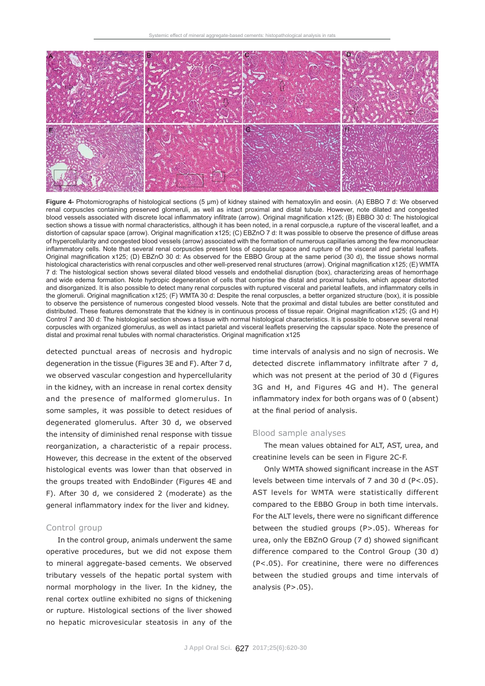

**Figure 4-** Photomicrographs of histological sections (5 μm) of kidney stained with hematoxylin and eosin. (A) EBBO 7 d: We observed renal corpuscles containing preserved glomeruli, as well as intact proximal and distal tubule. However, note dilated and congested blood vessels associated with discrete local inflammatory infiltrate (arrow). Original magnification x125; (B) EBBO 30 d: The histological section shows a tissue with normal characteristics, although it has been noted, in a renal corpuscle, a rupture of the visceral leaflet, and a distortion of capsular space (arrow). Original magnification x125; (C) EBZnO 7 d: It was possible to observe the presence of diffuse areas of hypercellularity and congested blood vessels (arrow) associated with the formation of numerous capillaries among the few mononuclear inflammatory cells. Note that several renal corpuscles present loss of capsular space and rupture of the visceral and parietal leaflets. Original magnification x125; (D) EBZnO 30 d: As observed for the EBBO Group at the same period (30 d), the tissue shows normal histological characteristics with renal corpuscles and other well-preserved renal structures (arrow). Original magnification x125; (E) WMTA 7 d: The histological section shows several dilated blood vessels and endothelial disruption (box), characterizing areas of hemorrhage and wide edema formation. Note hydropic degeneration of cells that comprise the distal and proximal tubules, which appear distorted and disorganized. It is also possible to detect many renal corpuscles with ruptured visceral and parietal leaflets, and inflammatory cells in the glomeruli. Original magnification x125; (F) WMTA 30 d: Despite the renal corpuscles, a better organized structure (box), it is possible to observe the persistence of numerous congested blood vessels. Note that the proximal and distal tubules are better constituted and distributed. These features demonstrate that the kidney is in continuous process of tissue repair. Original magnification x125; (G and H) Control 7 and 30 d: The histological section shows a tissue with normal histological characteristics. It is possible to observe several renal corpuscles with organized glomerulus, as well as intact parietal and visceral leaflets preserving the capsular space. Note the presence of distal and proximal renal tubules with normal characteristics. Original magnification x125

detected punctual areas of necrosis and hydropic degeneration in the tissue (Figures 3E and F). After 7 d, we observed vascular congestion and hypercellularity in the kidney, with an increase in renal cortex density and the presence of malformed glomerulus. In some samples, it was possible to detect residues of degenerated glomerulus. After 30 d, we observed the intensity of diminished renal response with tissue reorganization, a characteristic of a repair process. However, this decrease in the extent of the observed histological events was lower than that observed in the groups treated with EndoBinder (Figures 4E and F). After 30 d, we considered 2 (moderate) as the general inflammatory index for the liver and kidney.

#### Control group

In the control group, animals underwent the same operative procedures, but we did not expose them to mineral aggregate-based cements. We observed tributary vessels of the hepatic portal system with normal morphology in the liver. In the kidney, the renal cortex outline exhibited no signs of thickening or rupture. Histological sections of the liver showed no hepatic microvesicular steatosis in any of the

time intervals of analysis and no sign of necrosis. We detected discrete inflammatory infiltrate after 7 d, which was not present at the period of 30 d (Figures 3G and H, and Figures 4G and H). The general inflammatory index for both organs was of  $0$  (absent) at the final period of analysis.

#### Blood sample analyses

The mean values obtained for ALT, AST, urea, and creatinine levels can be seen in Figure 2C-F.

Only WMTA showed significant increase in the AST levels between time intervals of 7 and 30 d (P<.05). AST levels for WMTA were statistically different compared to the EBBO Group in both time intervals. For the ALT levels, there were no significant difference between the studied groups (P>.05). Whereas for urea, only the  $EBZnO$  Group (7 d) showed significant difference compared to the Control Group (30 d) (P<.05). For creatinine, there were no differences between the studied groups and time intervals of analysis  $(P > .05)$ .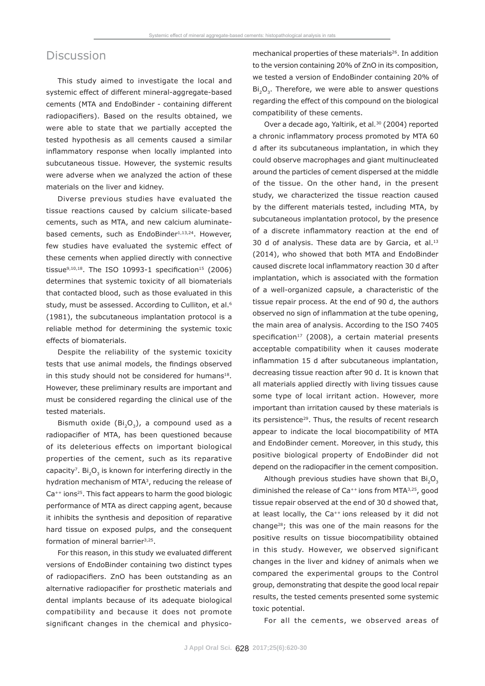### **Discussion**

This study aimed to investigate the local and systemic effect of different mineral-aggregate-based cements (MTA and EndoBinder - containing different radiopacifiers). Based on the results obtained, we were able to state that we partially accepted the tested hypothesis as all cements caused a similar inflammatory response when locally implanted into subcutaneous tissue. However, the systemic results were adverse when we analyzed the action of these materials on the liver and kidney.

Diverse previous studies have evaluated the tissue reactions caused by calcium silicate-based cements, such as MTA, and new calcium aluminatebased cements, such as EndoBinder<sup>1,13,24</sup>. However, few studies have evaluated the systemic effect of these cements when applied directly with connective tissue $9,10,18$ . The ISO 10993-1 specification<sup>15</sup> (2006) determines that systemic toxicity of all biomaterials that contacted blood, such as those evaluated in this study, must be assessed. According to Culliton, et al.<sup>6</sup> (1981), the subcutaneous implantation protocol is a reliable method for determining the systemic toxic effects of biomaterials.

Despite the reliability of the systemic toxicity tests that use animal models, the findings observed in this study should not be considered for humans<sup>18</sup>. However, these preliminary results are important and must be considered regarding the clinical use of the tested materials.

Bismuth oxide ( $Bi_2O_3$ ), a compound used as a radiopacifier of MTA, has been questioned because of its deleterious effects on important biological properties of the cement, such as its reparative capacity<sup>7</sup>. Bi<sub>2</sub>O<sub>3</sub> is known for interfering directly in the hydration mechanism of MTA3, reducing the release of Ca<sup>++</sup> ions<sup>25</sup>. This fact appears to harm the good biologic performance of MTA as direct capping agent, because it inhibits the synthesis and deposition of reparative hard tissue on exposed pulps, and the consequent formation of mineral barrier<sup>3,25</sup>.

For this reason, in this study we evaluated different versions of EndoBinder containing two distinct types of radiopacifiers. ZnO has been outstanding as an alternative radiopacifier for prosthetic materials and dental implants because of its adequate biological compatibility and because it does not promote significant changes in the chemical and physicomechanical properties of these materials<sup>26</sup>. In addition to the version containing 20% of ZnO in its composition, we tested a version of EndoBinder containing 20% of Bi<sub>2</sub>O<sub>2</sub>. Therefore, we were able to answer questions regarding the effect of this compound on the biological compatibility of these cements.

Over a decade ago, Yaltirik, et al*.*<sup>30</sup> (2004) reported a chronic inflammatory process promoted by MTA 60 d after its subcutaneous implantation, in which they could observe macrophages and giant multinucleated around the particles of cement dispersed at the middle of the tissue. On the other hand, in the present study, we characterized the tissue reaction caused by the different materials tested, including MTA, by subcutaneous implantation protocol, by the presence of a discrete inflammatory reaction at the end of 30 d of analysis. These data are by Garcia, et al. $13$ (2014), who showed that both MTA and EndoBinder caused discrete local inflammatory reaction 30 d after implantation, which is associated with the formation of a well-organized capsule, a characteristic of the tissue repair process. At the end of 90 d, the authors observed no sign of inflammation at the tube opening, the main area of analysis. According to the ISO 7405 specification<sup>17</sup> (2008), a certain material presents acceptable compatibility when it causes moderate inflammation 15 d after subcutaneous implantation, decreasing tissue reaction after 90 d. It is known that all materials applied directly with living tissues cause some type of local irritant action. However, more important than irritation caused by these materials is its persistence<sup>29</sup>. Thus, the results of recent research appear to indicate the local biocompatibility of MTA and EndoBinder cement. Moreover, in this study, this positive biological property of EndoBinder did not depend on the radiopacifier in the cement composition.

Although previous studies have shown that  $Bi_2O_3$ diminished the release of Ca<sup>++</sup> ions from MTA<sup>3,25</sup>, good tissue repair observed at the end of 30 d showed that, at least locally, the Ca<sup>++</sup> ions released by it did not change28; this was one of the main reasons for the positive results on tissue biocompatibility obtained in this study. However, we observed significant changes in the liver and kidney of animals when we compared the experimental groups to the Control group, demonstrating that despite the good local repair results, the tested cements presented some systemic toxic potential.

For all the cements, we observed areas of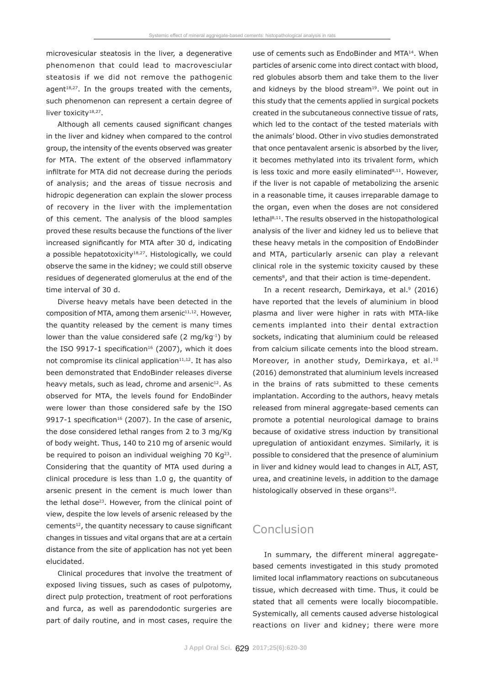microvesicular steatosis in the liver, a degenerative phenomenon that could lead to macrovesciular steatosis if we did not remove the pathogenic agent $18,27$ . In the groups treated with the cements, such phenomenon can represent a certain degree of liver toxicity<sup>18,27</sup>.

Although all cements caused significant changes in the liver and kidney when compared to the control group, the intensity of the events observed was greater for MTA. The extent of the observed inflammatory infiltrate for MTA did not decrease during the periods of analysis; and the areas of tissue necrosis and hidropic degeneration can explain the slower process of recovery in the liver with the implementation of this cement. The analysis of the blood samples proved these results because the functions of the liver increased significantly for MTA after 30 d, indicating a possible hepatotoxicity<sup>18,27</sup>. Histologically, we could observe the same in the kidney; we could still observe residues of degenerated glomerulus at the end of the time interval of 30 d.

Diverse heavy metals have been detected in the composition of MTA, among them arsenic $11,12$ . However, the quantity released by the cement is many times lower than the value considered safe (2 mg/kg $^{-1}$ ) by the ISO 9917-1 specification<sup>16</sup> (2007), which it does not compromise its clinical application $11,12$ . It has also been demonstrated that EndoBinder releases diverse heavy metals, such as lead, chrome and arsenic $12$ . As observed for MTA, the levels found for EndoBinder were lower than those considered safe by the ISO 9917-1 specification<sup>16</sup> (2007). In the case of arsenic, the dose considered lethal ranges from 2 to 3 mg/Kg of body weight. Thus, 140 to 210 mg of arsenic would be required to poison an individual weighing 70 Kg<sup>23</sup>. Considering that the quantity of MTA used during a clinical procedure is less than 1.0 g, the quantity of arsenic present in the cement is much lower than the lethal dose23. However, from the clinical point of view, despite the low levels of arsenic released by the cements<sup>12</sup>, the quantity necessary to cause significant changes in tissues and vital organs that are at a certain distance from the site of application has not yet been elucidated.

Clinical procedures that involve the treatment of exposed living tissues, such as cases of pulpotomy, direct pulp protection, treatment of root perforations and furca, as well as parendodontic surgeries are part of daily routine, and in most cases, require the use of cements such as EndoBinder and MTA<sup>14</sup>. When particles of arsenic come into direct contact with blood, red globules absorb them and take them to the liver and kidneys by the blood stream<sup>19</sup>. We point out in this study that the cements applied in surgical pockets created in the subcutaneous connective tissue of rats, which led to the contact of the tested materials with the animals' blood. Other *in vivo* studies demonstrated that once pentavalent arsenic is absorbed by the liver, it becomes methylated into its trivalent form, which is less toxic and more easily eliminated $8,11$ . However, if the liver is not capable of metabolizing the arsenic in a reasonable time, it causes irreparable damage to the organ, even when the doses are not considered lethal8,11. The results observed in the histopathological analysis of the liver and kidney led us to believe that these heavy metals in the composition of EndoBinder and MTA, particularly arsenic can play a relevant clinical role in the systemic toxicity caused by these cements<sup>8</sup>, and that their action is time-dependent.

In a recent research, Demirkaya, et al.<sup>9</sup> (2016) have reported that the levels of aluminium in blood plasma and liver were higher in rats with MTA-like cements implanted into their dental extraction sockets, indicating that aluminium could be released from calcium silicate cements into the blood stream. Moreover, in another study, Demirkaya, et al.<sup>10</sup> (2016) demonstrated that aluminium levels increased in the brains of rats submitted to these cements implantation. According to the authors, heavy metals released from mineral aggregate-based cements can promote a potential neurological damage to brains because of oxidative stress induction by transitional upregulation of antioxidant enzymes. Similarly, it is possible to considered that the presence of aluminium in liver and kidney would lead to changes in ALT, AST, urea, and creatinine levels, in addition to the damage histologically observed in these organs<sup>10</sup>.

## Conclusion

In summary, the different mineral aggregatebased cements investigated in this study promoted limited local inflammatory reactions on subcutaneous tissue, which decreased with time. Thus, it could be stated that all cements were locally biocompatible. Systemically, all cements caused adverse histological reactions on liver and kidney; there were more